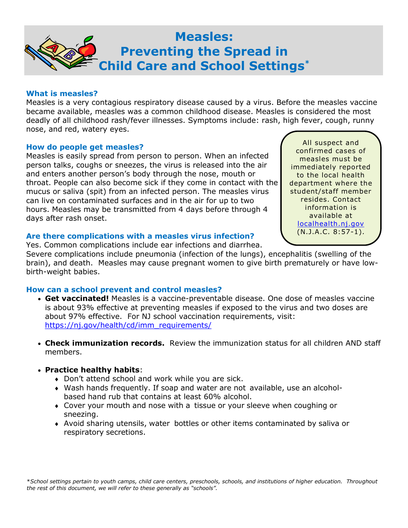

#### **What is measles?**

Measles is a very contagious respiratory disease caused by a virus. Before the measles vaccine became available, measles was a common childhood disease. Measles is considered the most deadly of all childhood rash/fever illnesses. Symptoms include: rash, high fever, cough, runny nose, and red, watery eyes.

### **How do people get measles?**

Measles is easily spread from person to person. When an infected person talks, coughs or sneezes, the virus is released into the air and enters another person's body through the nose, mouth or throat. People can also become sick if they come in contact with the mucus or saliva (spit) from an infected person. The measles virus can live on contaminated surfaces and in the air for up to two hours. Measles may be transmitted from 4 days before through 4 days after rash onset.

All suspect and confirmed cases of measles must be immediately reported to the local health department where the student/staff member resides. Contact information is available at [localhealth.nj.gov](https://www.state.nj.us/health/lh/community/index.shtml#1) (N.J.A.C. 8:57-1).

## **Are there complications with a measles virus infection?**

Yes. Common complications include ear infections and diarrhea.

Severe complications include pneumonia (infection of the lungs), encephalitis (swelling of the brain), and death. Measles may cause pregnant women to give birth prematurely or have lowbirth-weight babies.

## **How can a school prevent and control measles?**

- **Get vaccinated!** Measles is a vaccine-preventable disease. One dose of measles vaccine is about 93% effective at preventing measles if exposed to the virus and two doses are about 97% effective. For NJ school vaccination requirements, visit: [https://nj.gov/health/cd/imm\\_requirements/](https://nj.gov/health/cd/imm_requirements/)
- **Check immunization records.** Review the immunization status for all children AND staff members.

## • **Practice healthy habits**:

- Don't attend school and work while you are sick.
- Wash hands frequently. If soap and water are not available, use an alcoholbased hand rub that contains at least 60% alcohol.
- Cover your mouth and nose with a tissue or your sleeve when coughing or sneezing.
- Avoid sharing utensils, water bottles or other items contaminated by saliva or respiratory secretions.